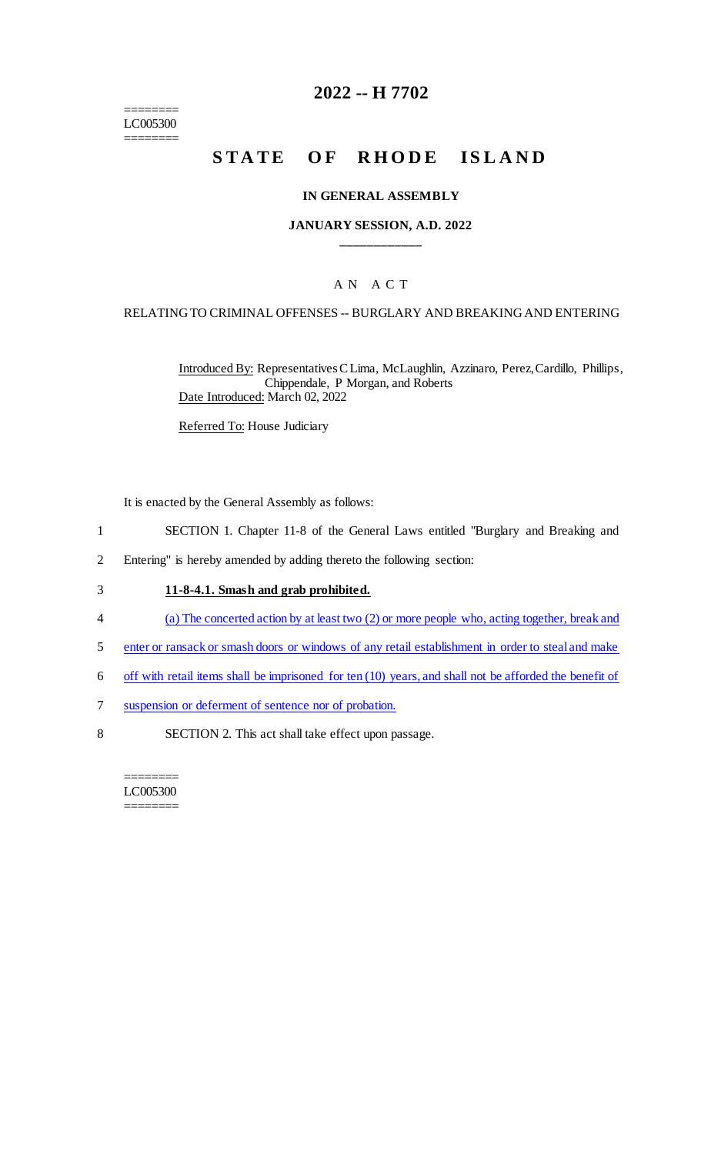======== LC005300 ========

### **2022 -- H 7702**

# **STATE OF RHODE ISLAND**

#### **IN GENERAL ASSEMBLY**

#### **JANUARY SESSION, A.D. 2022 \_\_\_\_\_\_\_\_\_\_\_\_**

### A N A C T

#### RELATING TO CRIMINAL OFFENSES -- BURGLARY AND BREAKING AND ENTERING

Introduced By: Representatives C Lima, McLaughlin, Azzinaro, Perez, Cardillo, Phillips, Chippendale, P Morgan, and Roberts Date Introduced: March 02, 2022

Referred To: House Judiciary

It is enacted by the General Assembly as follows:

- 1 SECTION 1. Chapter 11-8 of the General Laws entitled "Burglary and Breaking and
- 2 Entering" is hereby amended by adding thereto the following section:

#### 3 **11-8-4.1. Smash and grab prohibited.**

- 4 (a) The concerted action by at least two (2) or more people who, acting together, break and
- 5 enter or ransack or smash doors or windows of any retail establishment in order to steal and make
- 6 off with retail items shall be imprisoned for ten (10) years, and shall not be afforded the benefit of
- 7 suspension or deferment of sentence nor of probation.
- 8 SECTION 2. This act shall take effect upon passage.

======== LC005300 ========